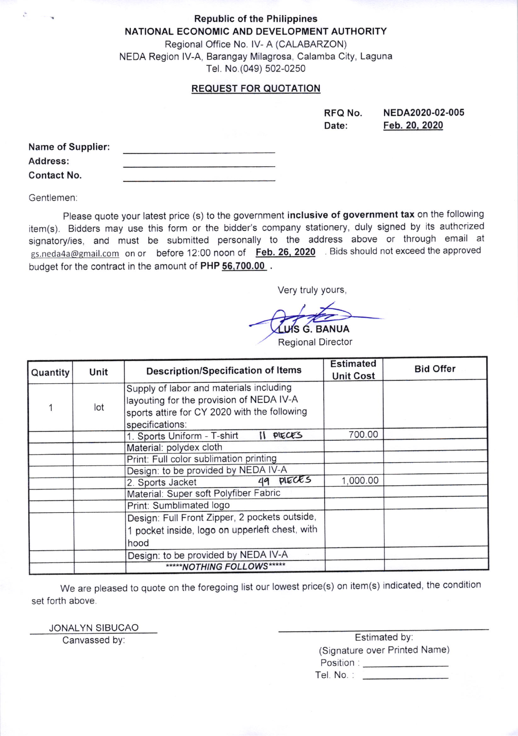Republic of the Philippines NATIONAL ECONOMIC AND DEVELOPMENT AUTHORITY

Regional Office No. IV- A (CALABARZON) NEDA Region lV-A, Barangay Milagrosa, Calamba City, Laguna Tel. No.(049) 502-0250

## REQUEST FOR QUOTATION

| RFQ No. | <b>NE</b> |  |
|---------|-----------|--|
| Date:   | Fel       |  |
|         |           |  |

NEDA2020-02-005 Feb. 20. 2020

| <b>Name of Supplier:</b> |  |
|--------------------------|--|
| Address:                 |  |
| Contact No.              |  |

Gentlemen.

Please quote your latest price (s) to the government inclusive of government tax on the following item(s). Bidders may use this form or the bidder's company stationery, duly signed by its authcrized signatory/ies, and must be submitted personally to the address above or through email at gs.neda4a@gmail.com on or before 12:00 noon of Feb. 26, 2020 . Bids should not exceed the approved budget for the contract in the amount of PHP 56,700.00.

Very truly yours,

S G. BANUA

Regional Director

| Quantity | Unit | <b>Description/Specification of Items</b>             | <b>Estimated</b><br><b>Unit Cost</b> | <b>Bid Offer</b> |
|----------|------|-------------------------------------------------------|--------------------------------------|------------------|
|          |      | Supply of labor and materials including               |                                      |                  |
|          | lot  | layouting for the provision of NEDA IV-A              |                                      |                  |
|          |      | sports attire for CY 2020 with the following          |                                      |                  |
|          |      | specifications:                                       |                                      |                  |
|          |      | PIECES<br>1. Sports Uniform - T-shirt<br>$\mathbf{u}$ | 700.00                               |                  |
|          |      | Material: polydex cloth                               |                                      |                  |
|          |      | Print: Full color sublimation printing                |                                      |                  |
|          |      | Design: to be provided by NEDA IV-A                   |                                      |                  |
|          |      | PIECES<br>49<br>2. Sports Jacket                      | 1,000.00                             |                  |
|          |      | Material: Super soft Polyfiber Fabric                 |                                      |                  |
|          |      | Print: Sumblimated logo                               |                                      |                  |
|          |      | Design: Full Front Zipper, 2 pockets outside,         |                                      |                  |
|          |      | 1 pocket inside, logo on upperleft chest, with        |                                      |                  |
|          |      | hood                                                  |                                      |                  |
|          |      | Design: to be provided by NEDA IV-A                   |                                      |                  |
|          |      | *****NOTHING FOLLOWS*****                             |                                      |                  |

we are pleased to quote on the foregoing list our lowest price(s) on item(s) indicated, the condition set forth above.

JONALYN SIBUCAO

Canvassed by

| Estimated by:                 |
|-------------------------------|
| (Signature over Printed Name) |
| Position:                     |
| Tel. No. ∶                    |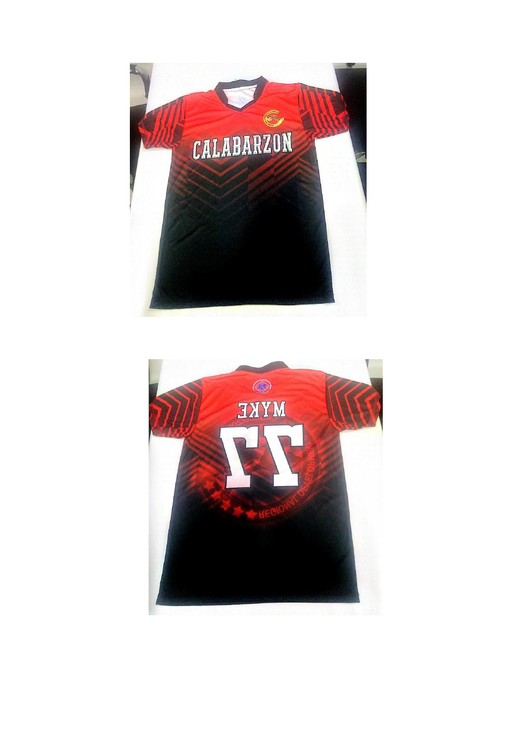